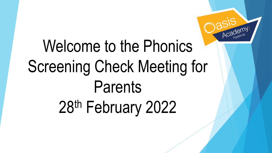

### Welcome to the Phonics Screening Check Meeting for Parents 28th February 2022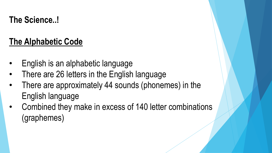**The Science..!**

#### **The Alphabetic Code**

- English is an alphabetic language
- There are 26 letters in the English language
- There are approximately 44 sounds (phonemes) in the English language
- Combined they make in excess of 140 letter combinations (graphemes)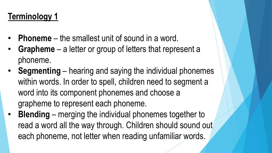#### **Terminology 1**

- **Phoneme** the smallest unit of sound in a word.
- **Grapheme** a letter or group of letters that represent a phoneme.
- **Segmenting** hearing and saying the individual phonemes within words. In order to spell, children need to segment a word into its component phonemes and choose a grapheme to represent each phoneme.
- **Blending** merging the individual phonemes together to read a word all the way through. Children should sound out each phoneme, not letter when reading unfamiliar words.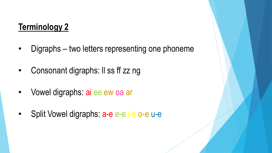#### **Terminology 2**

- Digraphs two letters representing one phoneme
- Consonant digraphs: Il ss ff zz ng
- Vowel digraphs: ai ee ew oa ar
- Split Vowel digraphs: a-e e-e i-e o-e u-e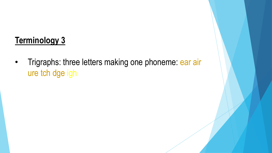#### **Terminology 3**

• Trigraphs: three letters making one phoneme: ear air ure tch dge igh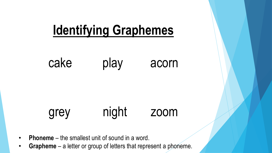

- **Phoneme** the smallest unit of sound in a word.
- **Grapheme** a letter or group of letters that represent a phoneme.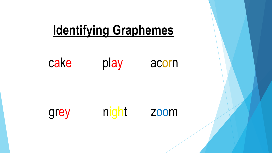

cake play acorn

grey

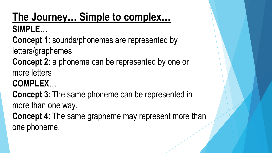#### **The Journey… Simple to complex… SIMPLE**…

**Concept 1**: sounds/phonemes are represented by

letters/graphemes

**Concept 2**: a phoneme can be represented by one or more letters

**COMPLEX**…

**Concept 3**: The same phoneme can be represented in more than one way.

**Concept 4**: The same grapheme may represent more than one phoneme.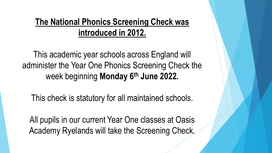#### **The National Phonics Screening Check was introduced in 2012.**

This academic year schools across England will administer the Year One Phonics Screening Check the week beginning **Monday 6th June 2022.** 

This check is statutory for all maintained schools.

All pupils in our current Year One classes at Oasis Academy Ryelands will take the Screening Check.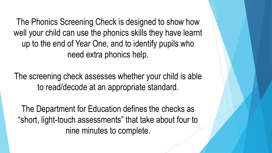The Phonics Screening Check is designed to show how well your child can use the phonics skills they have learnt up to the end of Year One, and to identify pupils who need extra phonics help.

The screening check assesses whether your child is able to read/decode at an appropriate standard.

The Department for Education defines the checks as "short, light-touch assessments" that take about four to nine minutes to complete.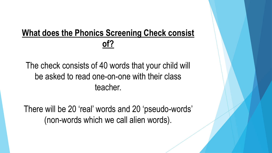#### **What does the Phonics Screening Check consist of?**

#### The check consists of 40 words that your child will be asked to read one-on-one with their class teacher.

There will be 20 'real' words and 20 'pseudo-words' (non-words which we call alien words).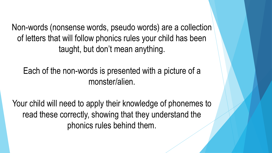Non-words (nonsense words, pseudo words) are a collection of letters that will follow phonics rules your child has been taught, but don't mean anything.

Each of the non-words is presented with a picture of a monster/alien.

Your child will need to apply their knowledge of phonemes to read these correctly, showing that they understand the phonics rules behind them.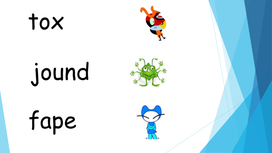## tox



# jound



fape

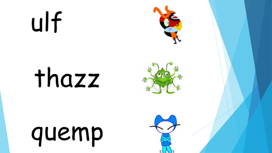## ulf







![](_page_13_Picture_4.jpeg)

![](_page_13_Picture_5.jpeg)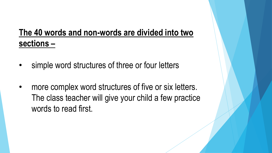#### **The 40 words and non-words are divided into two sections –**

- simple word structures of three or four letters
- more complex word structures of five or six letters. The class teacher will give your child a few practice words to read first.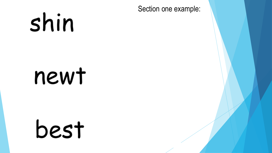Section one example:

## shin

## newt

![](_page_15_Picture_3.jpeg)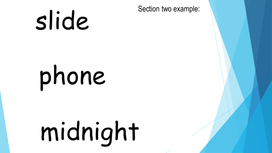## slide

Section two example:

# phone

# midnight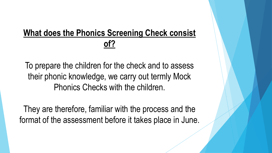#### **What does the Phonics Screening Check consist of?**

To prepare the children for the check and to assess their phonic knowledge, we carry out termly Mock Phonics Checks with the children.

They are therefore, familiar with the process and the format of the assessment before it takes place in June.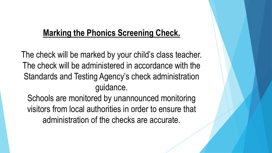#### **Marking the Phonics Screening Check.**

The check will be marked by your child's class teacher. The check will be administered in accordance with the Standards and Testing Agency's check administration guidance.

Schools are monitored by unannounced monitoring visitors from local authorities in order to ensure that administration of the checks are accurate.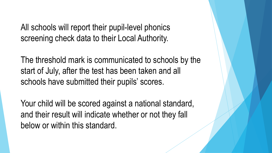All schools will report their pupil-level phonics screening check data to their Local Authority.

The threshold mark is communicated to schools by the start of July, after the test has been taken and all schools have submitted their pupils' scores.

Your child will be scored against a national standard, and their result will indicate whether or not they fall below or within this standard.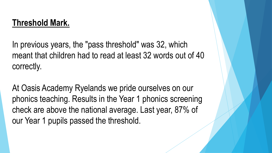#### **Threshold Mark.**

In previous years, the "pass threshold" was 32, which meant that children had to read at least 32 words out of 40 correctly.

At Oasis Academy Ryelands we pride ourselves on our phonics teaching. Results in the Year 1 phonics screening check are above the national average. Last year, 87% of our Year 1 pupils passed the threshold.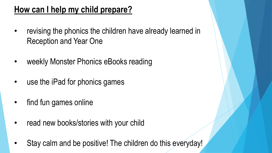#### **How can I help my child prepare?**

- revising the phonics the children have already learned in Reception and Year One
- weekly Monster Phonics eBooks reading
- use the iPad for phonics games
- find fun games online
- read new books/stories with your child
- Stay calm and be positive! The children do this everyday!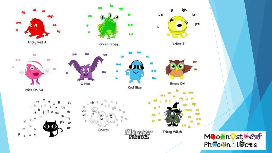![](_page_22_Figure_0.jpeg)